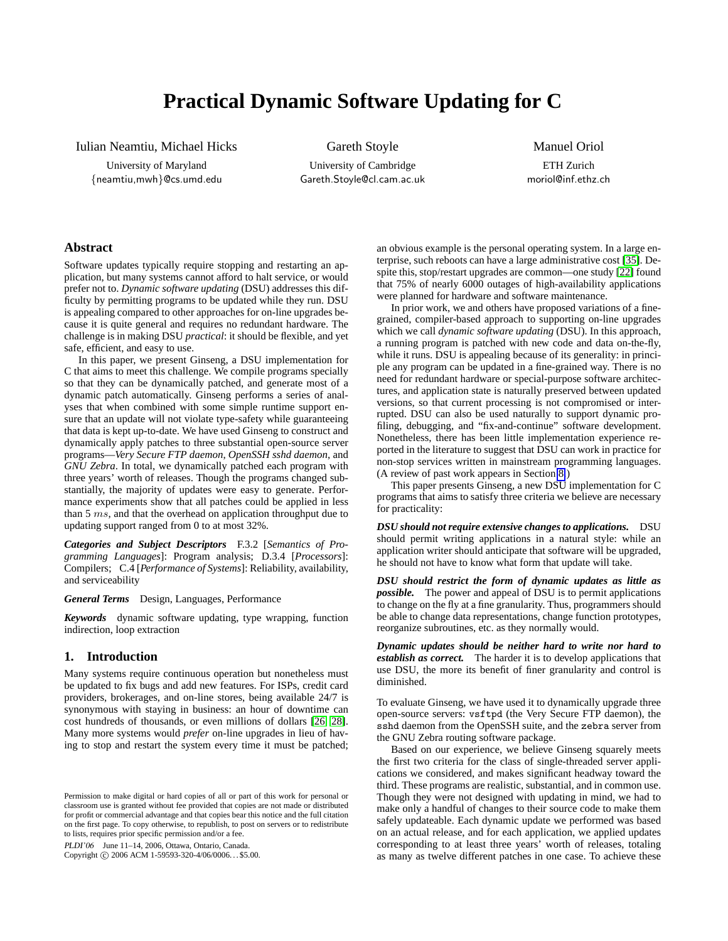# **Practical Dynamic Software Updating for C**

Iulian Neamtiu, Michael Hicks

University of Maryland {neamtiu,mwh}@cs.umd.edu Gareth Stoyle

University of Cambridge Gareth.Stoyle@cl.cam.ac.uk Manuel Oriol

ETH Zurich moriol@inf.ethz.ch

# **Abstract**

Software updates typically require stopping and restarting an application, but many systems cannot afford to halt service, or would prefer not to. *Dynamic software updating* (DSU) addresses this difficulty by permitting programs to be updated while they run. DSU is appealing compared to other approaches for on-line upgrades because it is quite general and requires no redundant hardware. The challenge is in making DSU *practical*: it should be flexible, and yet safe, efficient, and easy to use.

In this paper, we present Ginseng, a DSU implementation for C that aims to meet this challenge. We compile programs specially so that they can be dynamically patched, and generate most of a dynamic patch automatically. Ginseng performs a series of analyses that when combined with some simple runtime support ensure that an update will not violate type-safety while guaranteeing that data is kept up-to-date. We have used Ginseng to construct and dynamically apply patches to three substantial open-source server programs—*Very Secure FTP daemon*, *OpenSSH sshd daemon*, and *GNU Zebra*. In total, we dynamically patched each program with three years' worth of releases. Though the programs changed substantially, the majority of updates were easy to generate. Performance experiments show that all patches could be applied in less than 5 ms, and that the overhead on application throughput due to updating support ranged from 0 to at most 32%.

*Categories and Subject Descriptors* F.3.2 [*Semantics of Programming Languages*]: Program analysis; D.3.4 [*Processors*]: Compilers; C.4 [*Performance of Systems*]: Reliability, availability, and serviceability

*General Terms* Design, Languages, Performance

*Keywords* dynamic software updating, type wrapping, function indirection, loop extraction

# **1. Introduction**

Many systems require continuous operation but nonetheless must be updated to fix bugs and add new features. For ISPs, credit card providers, brokerages, and on-line stores, being available 24/7 is synonymous with staying in business: an hour of downtime can cost hundreds of thousands, or even millions of dollars [\[26,](#page-11-0) [28\]](#page-11-1). Many more systems would *prefer* on-line upgrades in lieu of having to stop and restart the system every time it must be patched;

PLDI'06 June 11–14, 2006, Ottawa, Ontario, Canada.

Copyright © 2006 ACM 1-59593-320-4/06/0006... \$5.00.

an obvious example is the personal operating system. In a large enterprise, such reboots can have a large administrative cost [\[35\]](#page-11-2). Despite this, stop/restart upgrades are common—one study [\[22\]](#page-11-3) found that 75% of nearly 6000 outages of high-availability applications were planned for hardware and software maintenance.

In prior work, we and others have proposed variations of a finegrained, compiler-based approach to supporting on-line upgrades which we call *dynamic software updating* (DSU). In this approach, a running program is patched with new code and data on-the-fly, while it runs. DSU is appealing because of its generality: in principle any program can be updated in a fine-grained way. There is no need for redundant hardware or special-purpose software architectures, and application state is naturally preserved between updated versions, so that current processing is not compromised or interrupted. DSU can also be used naturally to support dynamic profiling, debugging, and "fix-and-continue" software development. Nonetheless, there has been little implementation experience reported in the literature to suggest that DSU can work in practice for non-stop services written in mainstream programming languages. (A review of past work appears in Section [8.](#page-10-0))

This paper presents Ginseng, a new DSU implementation for C programs that aims to satisfy three criteria we believe are necessary for practicality:

*DSU should not require extensive changes to applications.* DSU should permit writing applications in a natural style: while an application writer should anticipate that software will be upgraded, he should not have to know what form that update will take.

*DSU should restrict the form of dynamic updates as little as possible.* The power and appeal of DSU is to permit applications to change on the fly at a fine granularity. Thus, programmers should be able to change data representations, change function prototypes, reorganize subroutines, etc. as they normally would.

*Dynamic updates should be neither hard to write nor hard to establish as correct.* The harder it is to develop applications that use DSU, the more its benefit of finer granularity and control is diminished.

To evaluate Ginseng, we have used it to dynamically upgrade three open-source servers: vsftpd (the Very Secure FTP daemon), the sshd daemon from the OpenSSH suite, and the zebra server from the GNU Zebra routing software package.

Based on our experience, we believe Ginseng squarely meets the first two criteria for the class of single-threaded server applications we considered, and makes significant headway toward the third. These programs are realistic, substantial, and in common use. Though they were not designed with updating in mind, we had to make only a handful of changes to their source code to make them safely updateable. Each dynamic update we performed was based on an actual release, and for each application, we applied updates corresponding to at least three years' worth of releases, totaling as many as twelve different patches in one case. To achieve these

Permission to make digital or hard copies of all or part of this work for personal or classroom use is granted without fee provided that copies are not made or distributed for profit or commercial advantage and that copies bear this notice and the full citation on the first page. To copy otherwise, to republish, to post on servers or to redistribute to lists, requires prior specific permission and/or a fee.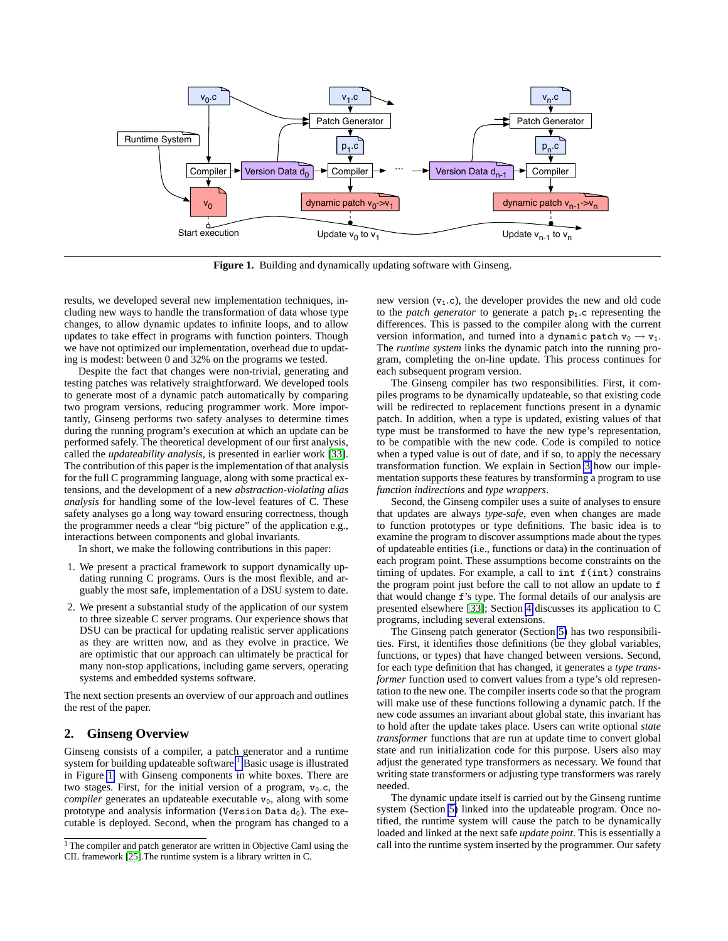

<span id="page-1-1"></span>**Figure 1.** Building and dynamically updating software with Ginseng.

results, we developed several new implementation techniques, including new ways to handle the transformation of data whose type changes, to allow dynamic updates to infinite loops, and to allow updates to take effect in programs with function pointers. Though we have not optimized our implementation, overhead due to updating is modest: between 0 and 32% on the programs we tested.

Despite the fact that changes were non-trivial, generating and testing patches was relatively straightforward. We developed tools to generate most of a dynamic patch automatically by comparing two program versions, reducing programmer work. More importantly, Ginseng performs two safety analyses to determine times during the running program's execution at which an update can be performed safely. The theoretical development of our first analysis, called the *updateability analysis*, is presented in earlier work [\[33\]](#page-11-4). The contribution of this paper is the implementation of that analysis for the full C programming language, along with some practical extensions, and the development of a new *abstraction-violating alias analysis* for handling some of the low-level features of C. These safety analyses go a long way toward ensuring correctness, though the programmer needs a clear "big picture" of the application e.g., interactions between components and global invariants.

In short, we make the following contributions in this paper:

- 1. We present a practical framework to support dynamically updating running C programs. Ours is the most flexible, and arguably the most safe, implementation of a DSU system to date.
- 2. We present a substantial study of the application of our system to three sizeable C server programs. Our experience shows that DSU can be practical for updating realistic server applications as they are written now, and as they evolve in practice. We are optimistic that our approach can ultimately be practical for many non-stop applications, including game servers, operating systems and embedded systems software.

The next section presents an overview of our approach and outlines the rest of the paper.

# <span id="page-1-2"></span>**2. Ginseng Overview**

Ginseng consists of a compiler, a patch generator and a runtime system for building updateable software.<sup>[1](#page-1-0)</sup> Basic usage is illustrated in Figure [1,](#page-1-1) with Ginseng components in white boxes. There are two stages. First, for the initial version of a program,  $v_0.c$ , the *compiler* generates an updateable executable  $v_0$ , along with some prototype and analysis information (Version Data  $d_0$ ). The executable is deployed. Second, when the program has changed to a new version  $(v_1.c)$ , the developer provides the new and old code to the *patch generator* to generate a patch  $p_1.c$  representing the differences. This is passed to the compiler along with the current version information, and turned into a dynamic patch  $v_0 \rightarrow v_1$ . The *runtime system* links the dynamic patch into the running program, completing the on-line update. This process continues for each subsequent program version.

The Ginseng compiler has two responsibilities. First, it compiles programs to be dynamically updateable, so that existing code will be redirected to replacement functions present in a dynamic patch. In addition, when a type is updated, existing values of that type must be transformed to have the new type's representation, to be compatible with the new code. Code is compiled to notice when a typed value is out of date, and if so, to apply the necessary transformation function. We explain in Section [3](#page-2-0) how our implementation supports these features by transforming a program to use *function indirections* and *type wrappers*.

Second, the Ginseng compiler uses a suite of analyses to ensure that updates are always *type-safe*, even when changes are made to function prototypes or type definitions. The basic idea is to examine the program to discover assumptions made about the types of updateable entities (i.e., functions or data) in the continuation of each program point. These assumptions become constraints on the timing of updates. For example, a call to int  $f(int)$  constrains the program point just before the call to not allow an update to f that would change f's type. The formal details of our analysis are presented elsewhere [\[33\]](#page-11-4); Section [4](#page-3-0) discusses its application to C programs, including several extensions.

The Ginseng patch generator (Section [5\)](#page-5-0) has two responsibilities. First, it identifies those definitions (be they global variables, functions, or types) that have changed between versions. Second, for each type definition that has changed, it generates a *type transformer* function used to convert values from a type's old representation to the new one. The compiler inserts code so that the program will make use of these functions following a dynamic patch. If the new code assumes an invariant about global state, this invariant has to hold after the update takes place. Users can write optional *state transformer* functions that are run at update time to convert global state and run initialization code for this purpose. Users also may adjust the generated type transformers as necessary. We found that writing state transformers or adjusting type transformers was rarely needed.

The dynamic update itself is carried out by the Ginseng runtime system (Section [5\)](#page-5-0) linked into the updateable program. Once notified, the runtime system will cause the patch to be dynamically loaded and linked at the next safe *update point*. This is essentially a call into the runtime system inserted by the programmer. Our safety

<span id="page-1-0"></span><sup>&</sup>lt;sup>1</sup> The compiler and patch generator are written in Objective Caml using the CIL framework [\[25\]](#page-11-5).The runtime system is a library written in C.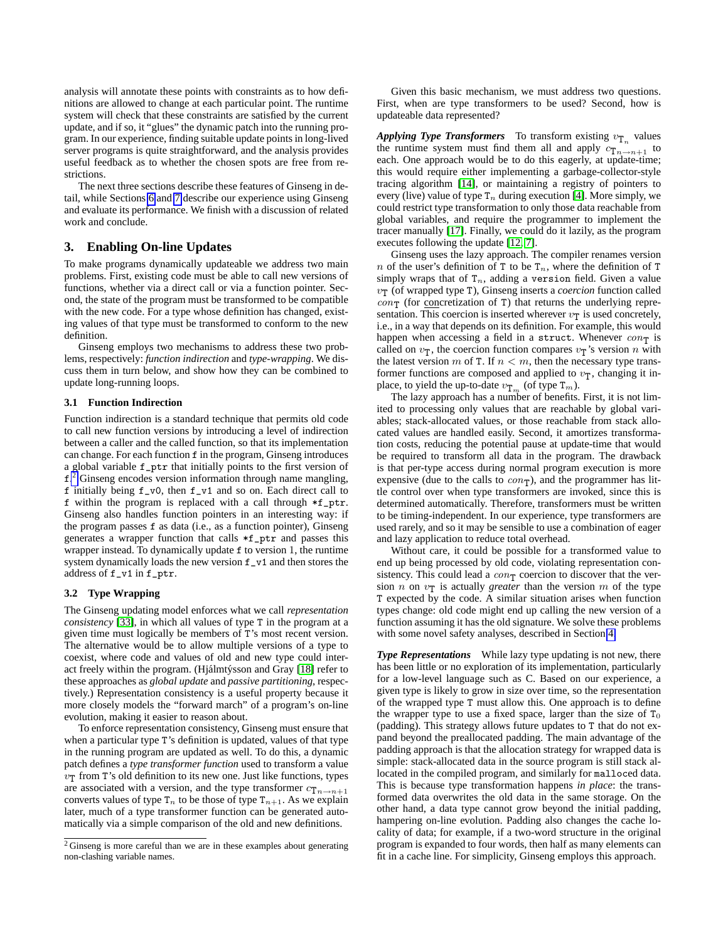analysis will annotate these points with constraints as to how definitions are allowed to change at each particular point. The runtime system will check that these constraints are satisfied by the current update, and if so, it "glues" the dynamic patch into the running program. In our experience, finding suitable update points in long-lived server programs is quite straightforward, and the analysis provides useful feedback as to whether the chosen spots are free from restrictions.

The next three sections describe these features of Ginseng in detail, while Sections [6](#page-6-0) and [7](#page-8-0) describe our experience using Ginseng and evaluate its performance. We finish with a discussion of related work and conclude.

# <span id="page-2-0"></span>**3. Enabling On-line Updates**

To make programs dynamically updateable we address two main problems. First, existing code must be able to call new versions of functions, whether via a direct call or via a function pointer. Second, the state of the program must be transformed to be compatible with the new code. For a type whose definition has changed, existing values of that type must be transformed to conform to the new definition.

Ginseng employs two mechanisms to address these two problems, respectively: *function indirection* and *type-wrapping*. We discuss them in turn below, and show how they can be combined to update long-running loops.

## **3.1 Function Indirection**

Function indirection is a standard technique that permits old code to call new function versions by introducing a level of indirection between a caller and the called function, so that its implementation can change. For each function f in the program, Ginseng introduces a global variable f\_ptr that initially points to the first version of  $f<sup>2</sup>$  $f<sup>2</sup>$  $f<sup>2</sup>$  Ginseng encodes version information through name mangling, f initially being f\_v0, then f\_v1 and so on. Each direct call to f within the program is replaced with a call through \*f\_ptr. Ginseng also handles function pointers in an interesting way: if the program passes f as data (i.e., as a function pointer), Ginseng generates a wrapper function that calls \*f\_ptr and passes this wrapper instead. To dynamically update f to version 1, the runtime system dynamically loads the new version f\_v1 and then stores the address of f\_v1 in f\_ptr.

# **3.2 Type Wrapping**

The Ginseng updating model enforces what we call *representation consistency* [\[33\]](#page-11-4), in which all values of type T in the program at a given time must logically be members of T's most recent version. The alternative would be to allow multiple versions of a type to coexist, where code and values of old and new type could inter-act freely within the program. (Hjálmtýsson and Gray [\[18\]](#page-11-6) refer to these approaches as *global update* and *passive partitioning*, respectively.) Representation consistency is a useful property because it more closely models the "forward march" of a program's on-line evolution, making it easier to reason about.

To enforce representation consistency, Ginseng must ensure that when a particular type T's definition is updated, values of that type in the running program are updated as well. To do this, a dynamic patch defines a *type transformer function* used to transform a value  $v<sub>T</sub>$  from T's old definition to its new one. Just like functions, types are associated with a version, and the type transformer  $c_{T_n\to n+1}$ converts values of type  $T_n$  to be those of type  $T_{n+1}$ . As we explain later, much of a type transformer function can be generated automatically via a simple comparison of the old and new definitions.

Given this basic mechanism, we must address two questions. First, when are type transformers to be used? Second, how is updateable data represented?

*Applying Type Transformers* To transform existing  $v_{\text{T}_n}$  values the runtime system must find them all and apply  $c_{\overline{1}, \dots, n+1}$  to each. One approach would be to do this eagerly, at update-time; this would require either implementing a garbage-collector-style tracing algorithm [\[14\]](#page-11-7), or maintaining a registry of pointers to every (live) value of type  $T_n$  during execution [\[4\]](#page-11-8). More simply, we could restrict type transformation to only those data reachable from global variables, and require the programmer to implement the tracer manually [\[17\]](#page-11-9). Finally, we could do it lazily, as the program executes following the update [\[12,](#page-11-10) [7\]](#page-11-11).

Ginseng uses the lazy approach. The compiler renames version n of the user's definition of T to be  $T_n$ , where the definition of T simply wraps that of  $T_n$ , adding a version field. Given a value  $v_T$  (of wrapped type T), Ginseng inserts a *coercion* function called  $con_{T}$  (for concretization of T) that returns the underlying representation. This coercion is inserted wherever  $v_T$  is used concretely, i.e., in a way that depends on its definition. For example, this would happen when accessing a field in a struct. Whenever  $con_{T}$  is called on  $v_T$ , the coercion function compares  $v_T$ 's version n with the latest version  $m$  of T. If  $n < m$ , then the necessary type transformer functions are composed and applied to  $v_T$ , changing it inplace, to yield the up-to-date  $v_{\mathbf{T}_m}$  (of type  $\mathbf{T}_m$ ).

The lazy approach has a number of benefits. First, it is not limited to processing only values that are reachable by global variables; stack-allocated values, or those reachable from stack allocated values are handled easily. Second, it amortizes transformation costs, reducing the potential pause at update-time that would be required to transform all data in the program. The drawback is that per-type access during normal program execution is more expensive (due to the calls to  $con_{T}$ ), and the programmer has little control over when type transformers are invoked, since this is determined automatically. Therefore, transformers must be written to be timing-independent. In our experience, type transformers are used rarely, and so it may be sensible to use a combination of eager and lazy application to reduce total overhead.

Without care, it could be possible for a transformed value to end up being processed by old code, violating representation consistency. This could lead a  $con_{T}$  coercion to discover that the version *n* on  $v<sub>T</sub>$  is actually *greater* than the version *m* of the type T expected by the code. A similar situation arises when function types change: old code might end up calling the new version of a function assuming it has the old signature. We solve these problems with some novel safety analyses, described in Section [4.](#page-3-0)

*Type Representations* While lazy type updating is not new, there has been little or no exploration of its implementation, particularly for a low-level language such as C. Based on our experience, a given type is likely to grow in size over time, so the representation of the wrapped type T must allow this. One approach is to define the wrapper type to use a fixed space, larger than the size of  $T_0$ (padding). This strategy allows future updates to T that do not expand beyond the preallocated padding. The main advantage of the padding approach is that the allocation strategy for wrapped data is simple: stack-allocated data in the source program is still stack allocated in the compiled program, and similarly for malloced data. This is because type transformation happens *in place*: the transformed data overwrites the old data in the same storage. On the other hand, a data type cannot grow beyond the initial padding, hampering on-line evolution. Padding also changes the cache locality of data; for example, if a two-word structure in the original program is expanded to four words, then half as many elements can fit in a cache line. For simplicity, Ginseng employs this approach.

<span id="page-2-1"></span><sup>2</sup> Ginseng is more careful than we are in these examples about generating non-clashing variable names.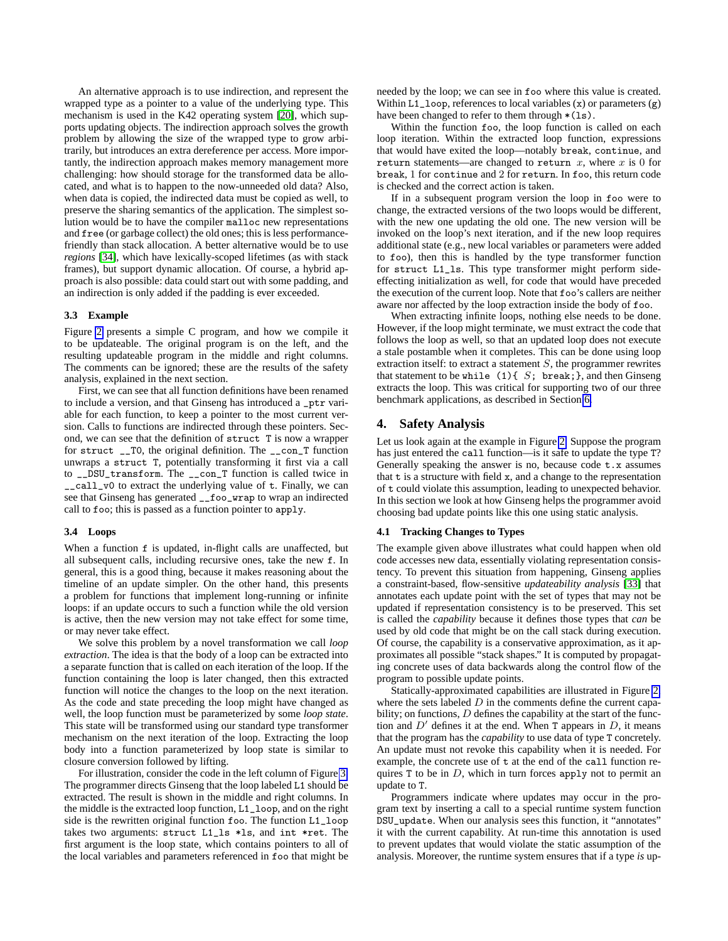An alternative approach is to use indirection, and represent the wrapped type as a pointer to a value of the underlying type. This mechanism is used in the K42 operating system [\[20\]](#page-11-12), which supports updating objects. The indirection approach solves the growth problem by allowing the size of the wrapped type to grow arbitrarily, but introduces an extra dereference per access. More importantly, the indirection approach makes memory management more challenging: how should storage for the transformed data be allocated, and what is to happen to the now-unneeded old data? Also, when data is copied, the indirected data must be copied as well, to preserve the sharing semantics of the application. The simplest solution would be to have the compiler malloc new representations and free (or garbage collect) the old ones; this is less performancefriendly than stack allocation. A better alternative would be to use *regions* [\[34\]](#page-11-13), which have lexically-scoped lifetimes (as with stack frames), but support dynamic allocation. Of course, a hybrid approach is also possible: data could start out with some padding, and an indirection is only added if the padding is ever exceeded.

#### **3.3 Example**

Figure [2](#page-4-0) presents a simple C program, and how we compile it to be updateable. The original program is on the left, and the resulting updateable program in the middle and right columns. The comments can be ignored; these are the results of the safety analysis, explained in the next section.

First, we can see that all function definitions have been renamed to include a version, and that Ginseng has introduced a \_ptr variable for each function, to keep a pointer to the most current version. Calls to functions are indirected through these pointers. Second, we can see that the definition of struct T is now a wrapper for struct \_\_T0, the original definition. The \_\_con\_T function unwraps a struct T, potentially transforming it first via a call to \_\_DSU\_transform. The \_\_con\_T function is called twice in \_\_call\_v0 to extract the underlying value of t. Finally, we can see that Ginseng has generated \_\_foo\_wrap to wrap an indirected call to foo; this is passed as a function pointer to apply.

#### <span id="page-3-1"></span>**3.4 Loops**

When a function f is updated, in-flight calls are unaffected, but all subsequent calls, including recursive ones, take the new f. In general, this is a good thing, because it makes reasoning about the timeline of an update simpler. On the other hand, this presents a problem for functions that implement long-running or infinite loops: if an update occurs to such a function while the old version is active, then the new version may not take effect for some time, or may never take effect.

We solve this problem by a novel transformation we call *loop extraction*. The idea is that the body of a loop can be extracted into a separate function that is called on each iteration of the loop. If the function containing the loop is later changed, then this extracted function will notice the changes to the loop on the next iteration. As the code and state preceding the loop might have changed as well, the loop function must be parameterized by some *loop state*. This state will be transformed using our standard type transformer mechanism on the next iteration of the loop. Extracting the loop body into a function parameterized by loop state is similar to closure conversion followed by lifting.

For illustration, consider the code in the left column of Figure [3.](#page-4-1) The programmer directs Ginseng that the loop labeled L1 should be extracted. The result is shown in the middle and right columns. In the middle is the extracted loop function, L1\_loop, and on the right side is the rewritten original function foo. The function L1\_loop takes two arguments: struct L1\_ls \*ls, and int \*ret. The first argument is the loop state, which contains pointers to all of the local variables and parameters referenced in foo that might be needed by the loop; we can see in foo where this value is created. Within L1\_loop, references to local variables  $(x)$  or parameters  $(g)$ have been changed to refer to them through  $*(1s)$ .

Within the function foo, the loop function is called on each loop iteration. Within the extracted loop function, expressions that would have exited the loop—notably break, continue, and return statements—are changed to return  $x$ , where  $x$  is 0 for break, 1 for continue and 2 for return. In foo, this return code is checked and the correct action is taken.

If in a subsequent program version the loop in foo were to change, the extracted versions of the two loops would be different, with the new one updating the old one. The new version will be invoked on the loop's next iteration, and if the new loop requires additional state (e.g., new local variables or parameters were added to foo), then this is handled by the type transformer function for struct L1\_ls. This type transformer might perform sideeffecting initialization as well, for code that would have preceded the execution of the current loop. Note that foo's callers are neither aware nor affected by the loop extraction inside the body of foo.

When extracting infinite loops, nothing else needs to be done. However, if the loop might terminate, we must extract the code that follows the loop as well, so that an updated loop does not execute a stale postamble when it completes. This can be done using loop extraction itself: to extract a statement  $S$ , the programmer rewrites that statement to be while  $(1)$  {  $S$ ; break; }, and then Ginseng extracts the loop. This was critical for supporting two of our three benchmark applications, as described in Section [6.](#page-6-0)

## <span id="page-3-0"></span>**4. Safety Analysis**

Let us look again at the example in Figure [2.](#page-4-0) Suppose the program has just entered the call function—is it safe to update the type T? Generally speaking the answer is no, because code  $t.x$  assumes that  $t$  is a structure with field  $x$ , and a change to the representation of t could violate this assumption, leading to unexpected behavior. In this section we look at how Ginseng helps the programmer avoid choosing bad update points like this one using static analysis.

#### **4.1 Tracking Changes to Types**

The example given above illustrates what could happen when old code accesses new data, essentially violating representation consistency. To prevent this situation from happening, Ginseng applies a constraint-based, flow-sensitive *updateability analysis* [\[33\]](#page-11-4) that annotates each update point with the set of types that may not be updated if representation consistency is to be preserved. This set is called the *capability* because it defines those types that *can* be used by old code that might be on the call stack during execution. Of course, the capability is a conservative approximation, as it approximates all possible "stack shapes." It is computed by propagating concrete uses of data backwards along the control flow of the program to possible update points.

Statically-approximated capabilities are illustrated in Figure [2,](#page-4-0) where the sets labeled  $D$  in the comments define the current capability; on functions,  $D$  defines the capability at the start of the function and  $D'$  defines it at the end. When T appears in  $D$ , it means that the program has the *capability* to use data of type T concretely. An update must not revoke this capability when it is needed. For example, the concrete use of t at the end of the call function requires T to be in  $D$ , which in turn forces apply not to permit an update to T.

Programmers indicate where updates may occur in the program text by inserting a call to a special runtime system function DSU\_update. When our analysis sees this function, it "annotates" it with the current capability. At run-time this annotation is used to prevent updates that would violate the static assumption of the analysis. Moreover, the runtime system ensures that if a type *is* up-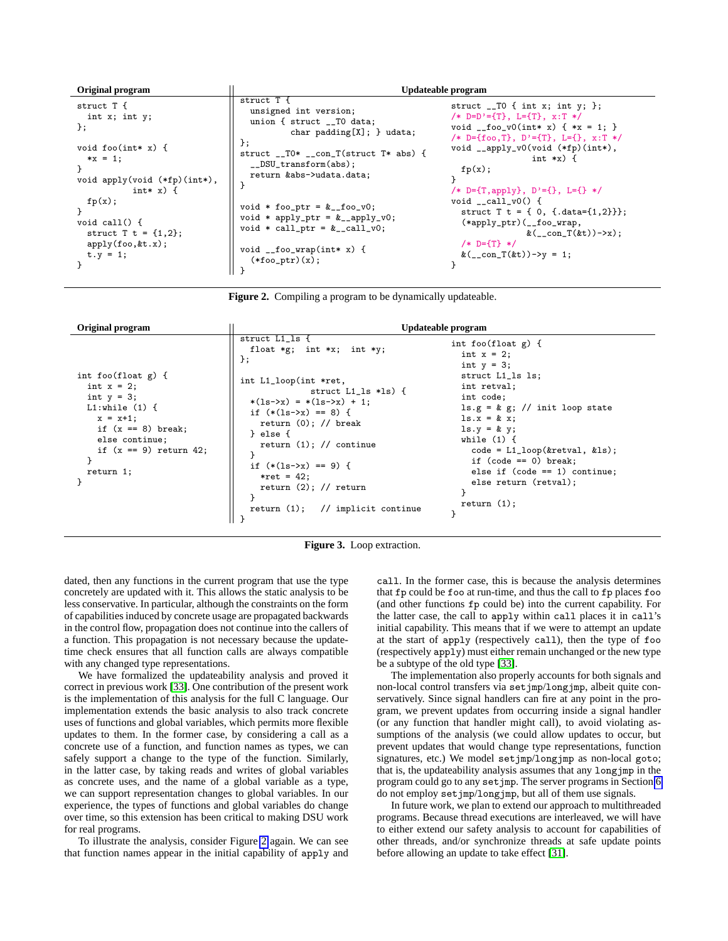| <b>Original program</b>                                                                                                      |                                                                                                                                                                                                                                 | Updateable program                                                                                                                                                                                                                                  |
|------------------------------------------------------------------------------------------------------------------------------|---------------------------------------------------------------------------------------------------------------------------------------------------------------------------------------------------------------------------------|-----------------------------------------------------------------------------------------------------------------------------------------------------------------------------------------------------------------------------------------------------|
| struct T {<br>int x; int y;<br>$\cdot$<br>void foo(int* x) {<br>$*x = 1$ :<br>void apply(void $(*fp)(int*)$ ,<br>$int* x)$ { | struct T {<br>unsigned int version;<br>union $\{$ struct $\_T0$ data;<br>char padding $[X]$ ; $\}$ udata;<br>};<br>struct $\_T0*$ $\_con_T($ struct $T*$ abs) {<br>$\_$ DSU $_$ transform $(abs)$ ;<br>return &abs->udata.data; | struct $\_T0$ { int x; int y; };<br>/* D=D'={T}, L={T}, x:T */<br>void __foo_v0(int* x) { *x = 1; }<br>/* D={foo,T}, D'={T}, L={}, x:T */<br>void $\text{\_apply_v0}(void (*fp)(int*),$<br>int $*x$ ) {<br>fp(x);<br>/* D={T,apply}, D'={}, L={} */ |
| fp(x);<br>void call() $\{$<br>struct $T t = \{1, 2\}$ ;<br>$apply(foo, \&t.x);$<br>$t.y = 1;$                                | $void * foo_ptr = &c_0v0;$<br>void * apply_ptr = $&$ __apply_v0;<br>void * call_ptr = $&$ _call_v0;<br>void $_{-}$ foo_wrap(int* x) {<br>$(*foo\_ptr)(x);$                                                                      | void $_{-}$ call $_{-}$ v0() {<br>struct T t = { 0, {.data={1,2}}};<br>$(*apply\_ptr)$ ( $\_foo\_wrap$ ,<br>$\&($ con T $(\&t))$ ->x):<br>$/*$ D={T} $*/$<br>$&($ (con T( $&($ )) -> $y = 1$ ;                                                      |

<span id="page-4-0"></span>**Figure 2.** Compiling a program to be dynamically updateable.

| Original program                                                                                                                                                                |                                                                                                                                                                                                                                                                                              | Updateable program                                                                                                                                                                                                                                                              |
|---------------------------------------------------------------------------------------------------------------------------------------------------------------------------------|----------------------------------------------------------------------------------------------------------------------------------------------------------------------------------------------------------------------------------------------------------------------------------------------|---------------------------------------------------------------------------------------------------------------------------------------------------------------------------------------------------------------------------------------------------------------------------------|
|                                                                                                                                                                                 | struct L1_ls {<br>float *g; int *x; int *y;<br>};                                                                                                                                                                                                                                            | int foo(float $g$ ) {<br>int $x = 2$ ;<br>int $y = 3$ ;                                                                                                                                                                                                                         |
| int foo(float $g$ ) {<br>int $x = 2$ ;<br>int $y = 3$ ;<br>L1:while $(1)$ f<br>$x = x + 1$ :<br>if $(x == 8)$ break;<br>else continue;<br>if $(x == 9)$ return 42;<br>return 1; | int L1_loop(int *ret,<br>struct $L1$ is $*ls$ ) f<br>$*(1s->x) = *(1s->x) + 1$ :<br>if $(*(ls->x) == 8)$ {<br>return $(0)$ ; // break<br>} else {<br>return $(1)$ ; // continue<br>if $(*(ls->x) == 9)$ {<br>$*ret = 42;$<br>return $(2)$ ; // return<br>return $(1)$ ; // implicit continue | struct L1_ls ls;<br>int retval;<br>int code;<br>$ls.g = \& g; // init loop state$<br>$ls.x = & x$ :<br>$ls.y = & y;$<br>while $(1)$ {<br>$code = L1\_loop(kretval, kls);$<br>if $(code == 0) break;$<br>else if $(code == 1)$ continue;<br>else return (retval);<br>return (1); |

**Figure 3.** Loop extraction.

dated, then any functions in the current program that use the type concretely are updated with it. This allows the static analysis to be less conservative. In particular, although the constraints on the form of capabilities induced by concrete usage are propagated backwards in the control flow, propagation does not continue into the callers of a function. This propagation is not necessary because the updatetime check ensures that all function calls are always compatible with any changed type representations.

We have formalized the updateability analysis and proved it correct in previous work [\[33\]](#page-11-4). One contribution of the present work is the implementation of this analysis for the full C language. Our implementation extends the basic analysis to also track concrete uses of functions and global variables, which permits more flexible updates to them. In the former case, by considering a call as a concrete use of a function, and function names as types, we can safely support a change to the type of the function. Similarly, in the latter case, by taking reads and writes of global variables as concrete uses, and the name of a global variable as a type, we can support representation changes to global variables. In our experience, the types of functions and global variables do change over time, so this extension has been critical to making DSU work for real programs.

To illustrate the analysis, consider Figure [2](#page-4-0) again. We can see that function names appear in the initial capability of apply and

<span id="page-4-1"></span>call. In the former case, this is because the analysis determines that fp could be foo at run-time, and thus the call to fp places foo (and other functions fp could be) into the current capability. For the latter case, the call to apply within call places it in call's initial capability. This means that if we were to attempt an update at the start of apply (respectively call), then the type of foo (respectively apply) must either remain unchanged or the new type be a subtype of the old type [\[33\]](#page-11-4).

The implementation also properly accounts for both signals and non-local control transfers via setjmp/longjmp, albeit quite conservatively. Since signal handlers can fire at any point in the program, we prevent updates from occurring inside a signal handler (or any function that handler might call), to avoid violating assumptions of the analysis (we could allow updates to occur, but prevent updates that would change type representations, function signatures, etc.) We model setjmp/longjmp as non-local goto; that is, the updateability analysis assumes that any longjmp in the program could go to any setjmp. The server programs in Section [6](#page-6-0) do not employ setjmp/longjmp, but all of them use signals.

In future work, we plan to extend our approach to multithreaded programs. Because thread executions are interleaved, we will have to either extend our safety analysis to account for capabilities of other threads, and/or synchronize threads at safe update points before allowing an update to take effect [\[31\]](#page-11-14).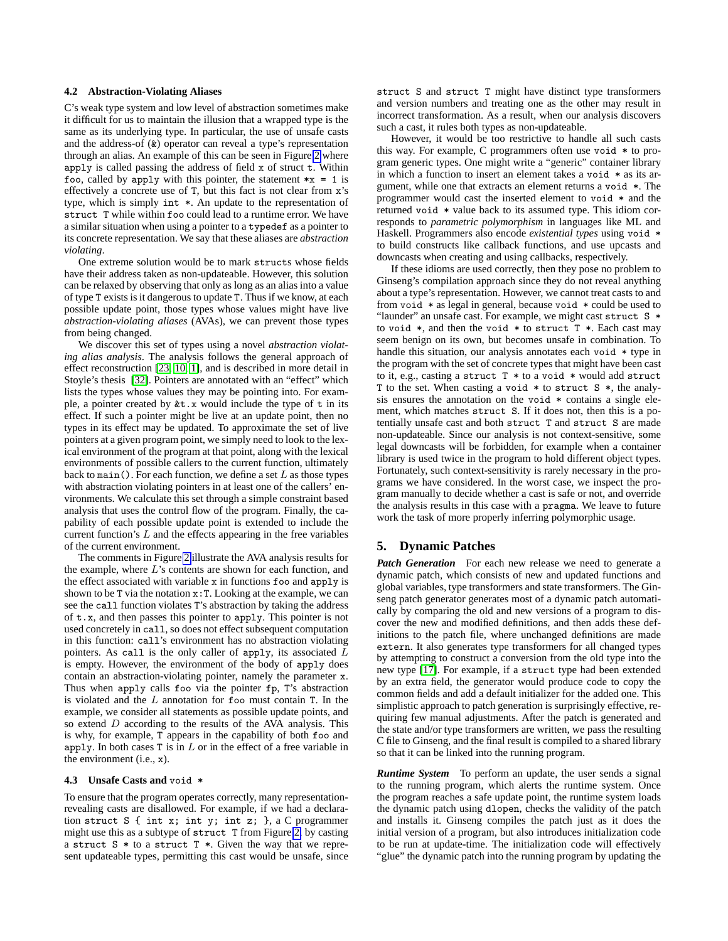## <span id="page-5-1"></span>**4.2 Abstraction-Violating Aliases**

C's weak type system and low level of abstraction sometimes make it difficult for us to maintain the illusion that a wrapped type is the same as its underlying type. In particular, the use of unsafe casts and the address-of (&) operator can reveal a type's representation through an alias. An example of this can be seen in Figure [2](#page-4-0) where apply is called passing the address of field x of struct t. Within foo, called by apply with this pointer, the statement  $*x = 1$  is effectively a concrete use of T, but this fact is not clear from x's type, which is simply int \*. An update to the representation of struct T while within foo could lead to a runtime error. We have a similar situation when using a pointer to a typedef as a pointer to its concrete representation. We say that these aliases are *abstraction violating*.

One extreme solution would be to mark structs whose fields have their address taken as non-updateable. However, this solution can be relaxed by observing that only as long as an alias into a value of type T exists is it dangerous to update T. Thus if we know, at each possible update point, those types whose values might have live *abstraction-violating aliases* (AVAs), we can prevent those types from being changed.

We discover this set of types using a novel *abstraction violating alias analysis*. The analysis follows the general approach of effect reconstruction [\[23,](#page-11-15) [10,](#page-11-16) [1\]](#page-11-17), and is described in more detail in Stoyle's thesis [\[32\]](#page-11-18). Pointers are annotated with an "effect" which lists the types whose values they may be pointing into. For example, a pointer created by  $&t.x$  would include the type of  $t$  in its effect. If such a pointer might be live at an update point, then no types in its effect may be updated. To approximate the set of live pointers at a given program point, we simply need to look to the lexical environment of the program at that point, along with the lexical environments of possible callers to the current function, ultimately back to main(). For each function, we define a set  $L$  as those types with abstraction violating pointers in at least one of the callers' environments. We calculate this set through a simple constraint based analysis that uses the control flow of the program. Finally, the capability of each possible update point is extended to include the current function's  $L$  and the effects appearing in the free variables of the current environment.

The comments in Figure [2](#page-4-0) illustrate the AVA analysis results for the example, where  $L$ 's contents are shown for each function, and the effect associated with variable x in functions foo and apply is shown to be  $T$  via the notation  $x:T$ . Looking at the example, we can see the call function violates T's abstraction by taking the address of t.x, and then passes this pointer to apply. This pointer is not used concretely in call, so does not effect subsequent computation in this function: call's environment has no abstraction violating pointers. As call is the only caller of apply, its associated L is empty. However, the environment of the body of apply does contain an abstraction-violating pointer, namely the parameter x. Thus when apply calls foo via the pointer fp, T's abstraction is violated and the  $L$  annotation for foo must contain T. In the example, we consider all statements as possible update points, and so extend  $D$  according to the results of the AVA analysis. This is why, for example, T appears in the capability of both foo and apply. In both cases  $T$  is in  $L$  or in the effect of a free variable in the environment (i.e., x).

#### <span id="page-5-2"></span>**4.3 Unsafe Casts and** void \*

To ensure that the program operates correctly, many representationrevealing casts are disallowed. For example, if we had a declaration struct S { int x; int y; int z; }, a C programmer might use this as a subtype of struct T from Figure [2,](#page-4-0) by casting a struct  $S *$  to a struct  $T *$ . Given the way that we represent updateable types, permitting this cast would be unsafe, since

struct S and struct T might have distinct type transformers and version numbers and treating one as the other may result in incorrect transformation. As a result, when our analysis discovers such a cast, it rules both types as non-updateable.

However, it would be too restrictive to handle all such casts this way. For example, C programmers often use void \* to program generic types. One might write a "generic" container library in which a function to insert an element takes a void  $*$  as its argument, while one that extracts an element returns a void \*. The programmer would cast the inserted element to void \* and the returned void \* value back to its assumed type. This idiom corresponds to *parametric polymorphism* in languages like ML and Haskell. Programmers also encode *existential types* using void \* to build constructs like callback functions, and use upcasts and downcasts when creating and using callbacks, respectively.

If these idioms are used correctly, then they pose no problem to Ginseng's compilation approach since they do not reveal anything about a type's representation. However, we cannot treat casts to and from void  $*$  as legal in general, because void  $*$  could be used to "launder" an unsafe cast. For example, we might cast struct S \* to void  $*$ , and then the void  $*$  to struct  $T *$ . Each cast may seem benign on its own, but becomes unsafe in combination. To handle this situation, our analysis annotates each void  $*$  type in the program with the set of concrete types that might have been cast to it, e.g., casting a struct  $T *$  to a void  $*$  would add struct T to the set. When casting a void \* to struct S \*, the analysis ensures the annotation on the void \* contains a single element, which matches struct S. If it does not, then this is a potentially unsafe cast and both struct T and struct S are made non-updateable. Since our analysis is not context-sensitive, some legal downcasts will be forbidden, for example when a container library is used twice in the program to hold different object types. Fortunately, such context-sensitivity is rarely necessary in the programs we have considered. In the worst case, we inspect the program manually to decide whether a cast is safe or not, and override the analysis results in this case with a pragma. We leave to future work the task of more properly inferring polymorphic usage.

# <span id="page-5-0"></span>**5. Dynamic Patches**

*Patch Generation* For each new release we need to generate a dynamic patch, which consists of new and updated functions and global variables, type transformers and state transformers. The Ginseng patch generator generates most of a dynamic patch automatically by comparing the old and new versions of a program to discover the new and modified definitions, and then adds these definitions to the patch file, where unchanged definitions are made extern. It also generates type transformers for all changed types by attempting to construct a conversion from the old type into the new type [\[17\]](#page-11-9). For example, if a struct type had been extended by an extra field, the generator would produce code to copy the common fields and add a default initializer for the added one. This simplistic approach to patch generation is surprisingly effective, requiring few manual adjustments. After the patch is generated and the state and/or type transformers are written, we pass the resulting C file to Ginseng, and the final result is compiled to a shared library so that it can be linked into the running program.

*Runtime System* To perform an update, the user sends a signal to the running program, which alerts the runtime system. Once the program reaches a safe update point, the runtime system loads the dynamic patch using dlopen, checks the validity of the patch and installs it. Ginseng compiles the patch just as it does the initial version of a program, but also introduces initialization code to be run at update-time. The initialization code will effectively "glue" the dynamic patch into the running program by updating the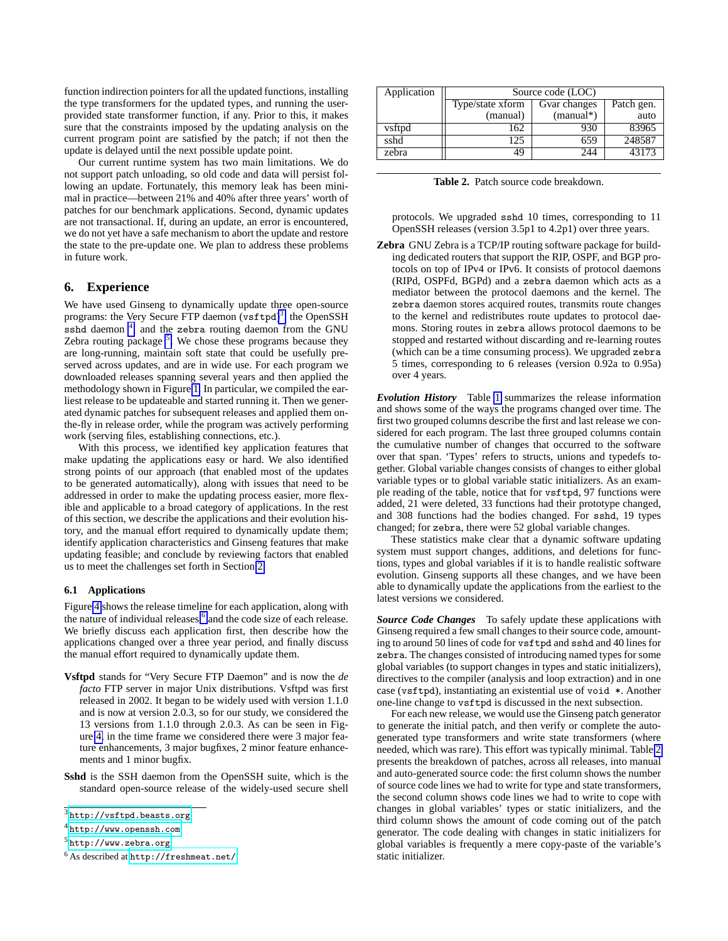function indirection pointers for all the updated functions, installing the type transformers for the updated types, and running the userprovided state transformer function, if any. Prior to this, it makes sure that the constraints imposed by the updating analysis on the current program point are satisfied by the patch; if not then the update is delayed until the next possible update point.

Our current runtime system has two main limitations. We do not support patch unloading, so old code and data will persist following an update. Fortunately, this memory leak has been minimal in practice—between 21% and 40% after three years' worth of patches for our benchmark applications. Second, dynamic updates are not transactional. If, during an update, an error is encountered, we do not yet have a safe mechanism to abort the update and restore the state to the pre-update one. We plan to address these problems in future work.

# <span id="page-6-0"></span>**6. Experience**

We have used Ginseng to dynamically update three open-source programs: the Very Secure FTP daemon (vsftpd)<sup>[3](#page-6-1)</sup>, the OpenSSH sshd daemon<sup>[4](#page-6-2)</sup>, and the zebra routing daemon from the GNU Zebra routing package<sup>[5](#page-6-3)</sup>. We chose these programs because they are long-running, maintain soft state that could be usefully preserved across updates, and are in wide use. For each program we downloaded releases spanning several years and then applied the methodology shown in Figure [1.](#page-1-1) In particular, we compiled the earliest release to be updateable and started running it. Then we generated dynamic patches for subsequent releases and applied them onthe-fly in release order, while the program was actively performing work (serving files, establishing connections, etc.).

With this process, we identified key application features that make updating the applications easy or hard. We also identified strong points of our approach (that enabled most of the updates to be generated automatically), along with issues that need to be addressed in order to make the updating process easier, more flexible and applicable to a broad category of applications. In the rest of this section, we describe the applications and their evolution history, and the manual effort required to dynamically update them; identify application characteristics and Ginseng features that make updating feasible; and conclude by reviewing factors that enabled us to meet the challenges set forth in Section [2.](#page-1-2)

## **6.1 Applications**

Figure [4](#page-7-0) shows the release timeline for each application, along with the nature of individual releases <sup>[6](#page-6-4)</sup> and the code size of each release. We briefly discuss each application first, then describe how the applications changed over a three year period, and finally discuss the manual effort required to dynamically update them.

- **Vsftpd** stands for "Very Secure FTP Daemon" and is now the *de facto* FTP server in major Unix distributions. Vsftpd was first released in 2002. It began to be widely used with version 1.1.0 and is now at version 2.0.3, so for our study, we considered the 13 versions from 1.1.0 through 2.0.3. As can be seen in Figure [4,](#page-7-0) in the time frame we considered there were 3 major feature enhancements, 3 major bugfixes, 2 minor feature enhancements and 1 minor bugfix.
- **Sshd** is the SSH daemon from the OpenSSH suite, which is the standard open-source release of the widely-used secure shell

| Application |                  | Source code (LOC) |            |
|-------------|------------------|-------------------|------------|
|             | Type/state xform | Gvar changes      | Patch gen. |
|             | (manual)         | $(manual*)$       | auto       |
| vsftpd      | 162              | 930               | 83965      |
| sshd        | 125              | 659               | 248587     |
| zebra       | 49               | 244               | 43173      |
|             |                  |                   |            |

<span id="page-6-5"></span>**Table 2.** Patch source code breakdown.

protocols. We upgraded sshd 10 times, corresponding to 11 OpenSSH releases (version 3.5p1 to 4.2p1) over three years.

**Zebra** GNU Zebra is a TCP/IP routing software package for building dedicated routers that support the RIP, OSPF, and BGP protocols on top of IPv4 or IPv6. It consists of protocol daemons (RIPd, OSPFd, BGPd) and a zebra daemon which acts as a mediator between the protocol daemons and the kernel. The zebra daemon stores acquired routes, transmits route changes to the kernel and redistributes route updates to protocol daemons. Storing routes in zebra allows protocol daemons to be stopped and restarted without discarding and re-learning routes (which can be a time consuming process). We upgraded zebra 5 times, corresponding to 6 releases (version 0.92a to 0.95a) over 4 years.

*Evolution History* Table [1](#page-7-1) summarizes the release information and shows some of the ways the programs changed over time. The first two grouped columns describe the first and last release we considered for each program. The last three grouped columns contain the cumulative number of changes that occurred to the software over that span. 'Types' refers to structs, unions and typedefs together. Global variable changes consists of changes to either global variable types or to global variable static initializers. As an example reading of the table, notice that for vsftpd, 97 functions were added, 21 were deleted, 33 functions had their prototype changed, and 308 functions had the bodies changed. For sshd, 19 types changed; for zebra, there were 52 global variable changes.

These statistics make clear that a dynamic software updating system must support changes, additions, and deletions for functions, types and global variables if it is to handle realistic software evolution. Ginseng supports all these changes, and we have been able to dynamically update the applications from the earliest to the latest versions we considered.

*Source Code Changes* To safely update these applications with Ginseng required a few small changes to their source code, amounting to around 50 lines of code for vsftpd and sshd and 40 lines for zebra. The changes consisted of introducing named types for some global variables (to support changes in types and static initializers), directives to the compiler (analysis and loop extraction) and in one case (vsftpd), instantiating an existential use of void \*. Another one-line change to vsftpd is discussed in the next subsection.

For each new release, we would use the Ginseng patch generator to generate the initial patch, and then verify or complete the autogenerated type transformers and write state transformers (where needed, which was rare). This effort was typically minimal. Table [2](#page-6-5) presents the breakdown of patches, across all releases, into manual and auto-generated source code: the first column shows the number of source code lines we had to write for type and state transformers, the second column shows code lines we had to write to cope with changes in global variables' types or static initializers, and the third column shows the amount of code coming out of the patch generator. The code dealing with changes in static initializers for global variables is frequently a mere copy-paste of the variable's static initializer.

<span id="page-6-1"></span> $^3$ <http://vsftpd.beasts.org>

<span id="page-6-2"></span><sup>4</sup> <http://www.openssh.com>

<span id="page-6-3"></span><sup>5</sup> <http://www.zebra.org>

<span id="page-6-4"></span><sup>6</sup> As described at <http://freshmeat.net/>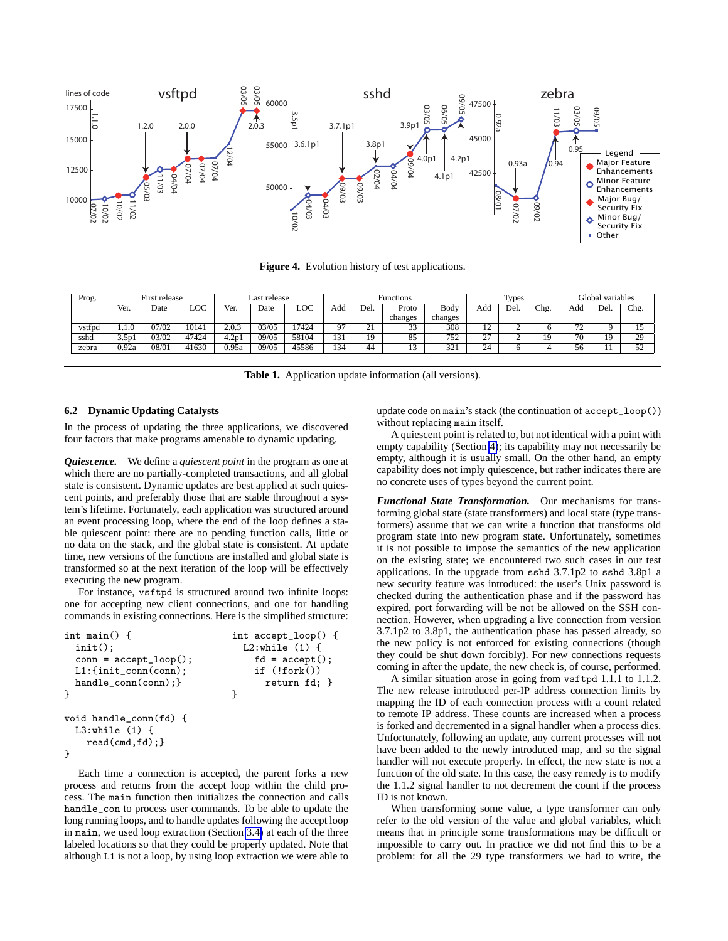

<span id="page-7-0"></span>**Figure 4.** Evolution history of test applications.

| Prog.  |                   | First release |                |                  | Last release |       |     |                      | Functions   |                 |                               | ivpes |      |                                      | Global variables |           |
|--------|-------------------|---------------|----------------|------------------|--------------|-------|-----|----------------------|-------------|-----------------|-------------------------------|-------|------|--------------------------------------|------------------|-----------|
|        | Ver.              | Date          | $\Omega$<br>LU | Ver.             | Date         | LOC   | Add | Del.                 | Proto       | Body            | Add                           | Del.  | Chg. | Add                                  | Del.             | Chg.      |
|        |                   |               |                |                  |              |       |     |                      | changes     | changes         |                               |       |      |                                      |                  |           |
| vstfpa | .1.0              | 07/02         | 10141          | 2.0.3            | 03/05        | 7424  | 97  | $\sim$<br><u>_ 1</u> | $\sim$<br>ັ | 308             | $\sim$<br>$\overline{1}$      |       |      | $\overline{\phantom{a}}$<br><u>_</u> |                  |           |
| sshd   | 5.5p <sup>1</sup> | 03/02         | 47424          | 4.2 <sub>D</sub> | 09/05        | 58104 | 131 |                      | 85          | 75'<br>ے ر      | $\overline{\phantom{a}}$<br>∼ | ∸     |      | 70                                   |                  | 29        |
| zebra  | 0.92a             | 08/0.         | 41630          | 0.95a            | 09/05        | 45586 | 134 | -44                  | . .         | $\sim$<br>. ے د | $2\ell$<br>∼                  |       |      | ັບ                                   |                  | 50<br>ے ر |

<span id="page-7-1"></span>**Table 1.** Application update information (all versions).

## **6.2 Dynamic Updating Catalysts**

In the process of updating the three applications, we discovered four factors that make programs amenable to dynamic updating.

*Quiescence.* We define a *quiescent point* in the program as one at which there are no partially-completed transactions, and all global state is consistent. Dynamic updates are best applied at such quiescent points, and preferably those that are stable throughout a system's lifetime. Fortunately, each application was structured around an event processing loop, where the end of the loop defines a stable quiescent point: there are no pending function calls, little or no data on the stack, and the global state is consistent. At update time, new versions of the functions are installed and global state is transformed so at the next iteration of the loop will be effectively executing the new program.

For instance, vsftpd is structured around two infinite loops: one for accepting new client connections, and one for handling commands in existing connections. Here is the simplified structure:

| $int \text{main}()$ {     | int $accept\_loop()$ { |
|---------------------------|------------------------|
| $init()$ ;                | $L2:while (1) f$       |
| $conn = accept\_loop()$ ; | $fd = accept();$       |
| $L1:\{init\_conn(conn):$  | if $(!fork())$         |
| $handle\_conn(conn);$     | return $fd; \}$        |
|                           |                        |
| void handle_conn(fd) {    |                        |
| L3: while $(1)$ {         |                        |
| read(cmd, fd);            |                        |
|                           |                        |

Each time a connection is accepted, the parent forks a new process and returns from the accept loop within the child process. The main function then initializes the connection and calls handle\_con to process user commands. To be able to update the long running loops, and to handle updates following the accept loop in main, we used loop extraction (Section [3.4\)](#page-3-1) at each of the three labeled locations so that they could be properly updated. Note that although L1 is not a loop, by using loop extraction we were able to update code on main's stack (the continuation of accept\_loop()) without replacing main itself.

A quiescent point is related to, but not identical with a point with empty capability (Section [4\)](#page-3-0); its capability may not necessarily be empty, although it is usually small. On the other hand, an empty capability does not imply quiescence, but rather indicates there are no concrete uses of types beyond the current point.

*Functional State Transformation.* Our mechanisms for transforming global state (state transformers) and local state (type transformers) assume that we can write a function that transforms old program state into new program state. Unfortunately, sometimes it is not possible to impose the semantics of the new application on the existing state; we encountered two such cases in our test applications. In the upgrade from sshd 3.7.1p2 to sshd 3.8p1 a new security feature was introduced: the user's Unix password is checked during the authentication phase and if the password has expired, port forwarding will be not be allowed on the SSH connection. However, when upgrading a live connection from version 3.7.1p2 to 3.8p1, the authentication phase has passed already, so the new policy is not enforced for existing connections (though they could be shut down forcibly). For new connections requests coming in after the update, the new check is, of course, performed.

A similar situation arose in going from vsftpd 1.1.1 to 1.1.2. The new release introduced per-IP address connection limits by mapping the ID of each connection process with a count related to remote IP address. These counts are increased when a process is forked and decremented in a signal handler when a process dies. Unfortunately, following an update, any current processes will not have been added to the newly introduced map, and so the signal handler will not execute properly. In effect, the new state is not a function of the old state. In this case, the easy remedy is to modify the 1.1.2 signal handler to not decrement the count if the process ID is not known.

When transforming some value, a type transformer can only refer to the old version of the value and global variables, which means that in principle some transformations may be difficult or impossible to carry out. In practice we did not find this to be a problem: for all the 29 type transformers we had to write, the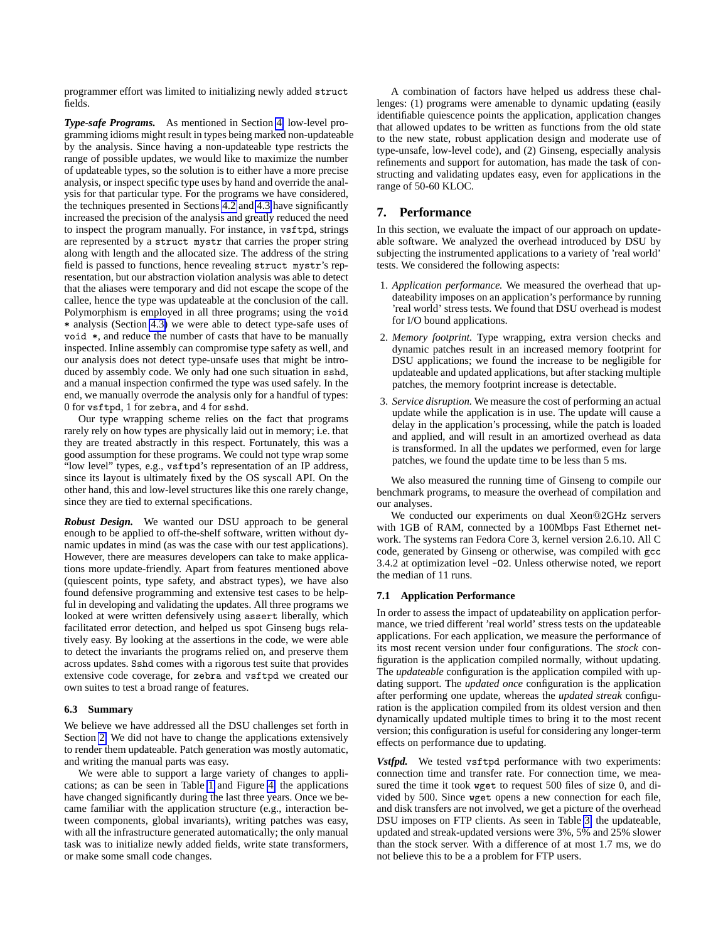programmer effort was limited to initializing newly added struct fields.

*Type-safe Programs.* As mentioned in Section [4,](#page-3-0) low-level programming idioms might result in types being marked non-updateable by the analysis. Since having a non-updateable type restricts the range of possible updates, we would like to maximize the number of updateable types, so the solution is to either have a more precise analysis, or inspect specific type uses by hand and override the analysis for that particular type. For the programs we have considered, the techniques presented in Sections [4.2](#page-5-1) and [4.3](#page-5-2) have significantly increased the precision of the analysis and greatly reduced the need to inspect the program manually. For instance, in vsftpd, strings are represented by a struct mystr that carries the proper string along with length and the allocated size. The address of the string field is passed to functions, hence revealing struct mystr's representation, but our abstraction violation analysis was able to detect that the aliases were temporary and did not escape the scope of the callee, hence the type was updateable at the conclusion of the call. Polymorphism is employed in all three programs; using the void \* analysis (Section [4.3\)](#page-5-2) we were able to detect type-safe uses of void \*, and reduce the number of casts that have to be manually inspected. Inline assembly can compromise type safety as well, and our analysis does not detect type-unsafe uses that might be introduced by assembly code. We only had one such situation in sshd, and a manual inspection confirmed the type was used safely. In the end, we manually overrode the analysis only for a handful of types: 0 for vsftpd, 1 for zebra, and 4 for sshd.

Our type wrapping scheme relies on the fact that programs rarely rely on how types are physically laid out in memory; i.e. that they are treated abstractly in this respect. Fortunately, this was a good assumption for these programs. We could not type wrap some "low level" types, e.g., vsftpd's representation of an IP address, since its layout is ultimately fixed by the OS syscall API. On the other hand, this and low-level structures like this one rarely change, since they are tied to external specifications.

*Robust Design.* We wanted our DSU approach to be general enough to be applied to off-the-shelf software, written without dynamic updates in mind (as was the case with our test applications). However, there are measures developers can take to make applications more update-friendly. Apart from features mentioned above (quiescent points, type safety, and abstract types), we have also found defensive programming and extensive test cases to be helpful in developing and validating the updates. All three programs we looked at were written defensively using assert liberally, which facilitated error detection, and helped us spot Ginseng bugs relatively easy. By looking at the assertions in the code, we were able to detect the invariants the programs relied on, and preserve them across updates. Sshd comes with a rigorous test suite that provides extensive code coverage, for zebra and vsftpd we created our own suites to test a broad range of features.

## **6.3 Summary**

We believe we have addressed all the DSU challenges set forth in Section [2.](#page-1-2) We did not have to change the applications extensively to render them updateable. Patch generation was mostly automatic, and writing the manual parts was easy.

We were able to support a large variety of changes to applications; as can be seen in Table [1](#page-7-1) and Figure [4,](#page-7-0) the applications have changed significantly during the last three years. Once we became familiar with the application structure (e.g., interaction between components, global invariants), writing patches was easy, with all the infrastructure generated automatically; the only manual task was to initialize newly added fields, write state transformers, or make some small code changes.

A combination of factors have helped us address these challenges: (1) programs were amenable to dynamic updating (easily identifiable quiescence points the application, application changes that allowed updates to be written as functions from the old state to the new state, robust application design and moderate use of type-unsafe, low-level code), and (2) Ginseng, especially analysis refinements and support for automation, has made the task of constructing and validating updates easy, even for applications in the range of 50-60 KLOC.

# <span id="page-8-0"></span>**7. Performance**

In this section, we evaluate the impact of our approach on updateable software. We analyzed the overhead introduced by DSU by subjecting the instrumented applications to a variety of 'real world' tests. We considered the following aspects:

- 1. *Application performance.* We measured the overhead that updateability imposes on an application's performance by running 'real world' stress tests. We found that DSU overhead is modest for I/O bound applications.
- 2. *Memory footprint.* Type wrapping, extra version checks and dynamic patches result in an increased memory footprint for DSU applications; we found the increase to be negligible for updateable and updated applications, but after stacking multiple patches, the memory footprint increase is detectable.
- 3. *Service disruption.* We measure the cost of performing an actual update while the application is in use. The update will cause a delay in the application's processing, while the patch is loaded and applied, and will result in an amortized overhead as data is transformed. In all the updates we performed, even for large patches, we found the update time to be less than 5 ms.

We also measured the running time of Ginseng to compile our benchmark programs, to measure the overhead of compilation and our analyses.

We conducted our experiments on dual Xeon@2GHz servers with 1GB of RAM, connected by a 100Mbps Fast Ethernet network. The systems ran Fedora Core 3, kernel version 2.6.10. All C code, generated by Ginseng or otherwise, was compiled with gcc 3.4.2 at optimization level -O2. Unless otherwise noted, we report the median of 11 runs.

#### **7.1 Application Performance**

In order to assess the impact of updateability on application performance, we tried different 'real world' stress tests on the updateable applications. For each application, we measure the performance of its most recent version under four configurations. The *stock* configuration is the application compiled normally, without updating. The *updateable* configuration is the application compiled with updating support. The *updated once* configuration is the application after performing one update, whereas the *updated streak* configuration is the application compiled from its oldest version and then dynamically updated multiple times to bring it to the most recent version; this configuration is useful for considering any longer-term effects on performance due to updating.

*Vstfpd.* We tested vsftpd performance with two experiments: connection time and transfer rate. For connection time, we measured the time it took wget to request 500 files of size 0, and divided by 500. Since wget opens a new connection for each file, and disk transfers are not involved, we get a picture of the overhead DSU imposes on FTP clients. As seen in Table [3,](#page-9-0) the updateable, updated and streak-updated versions were 3%, 5% and 25% slower than the stock server. With a difference of at most 1.7 ms, we do not believe this to be a a problem for FTP users.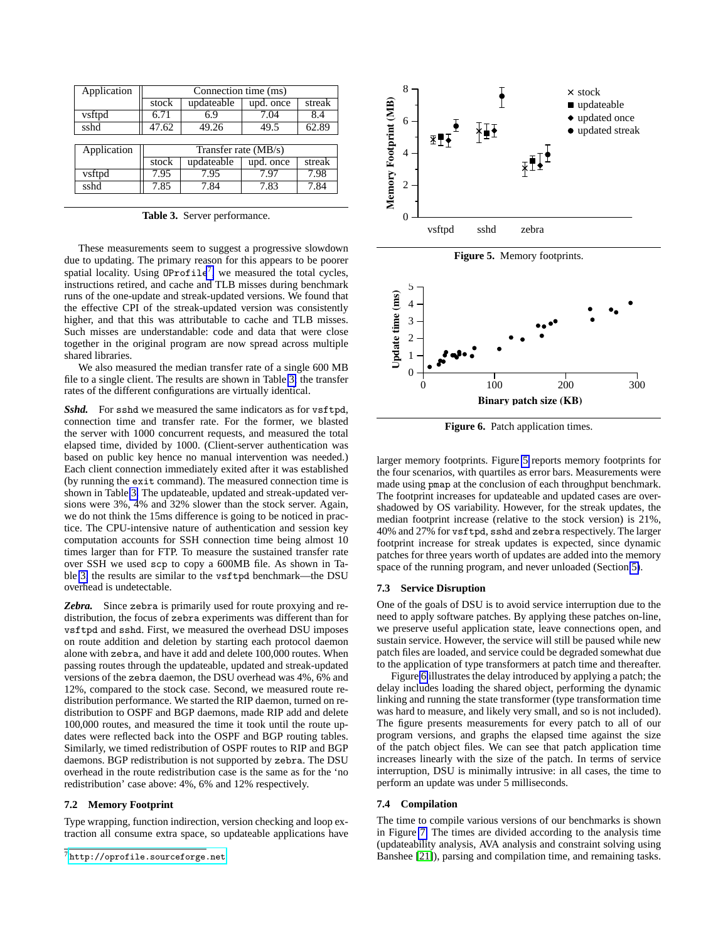| Application |                        | Connection time (ms) |           |        |  |  |
|-------------|------------------------|----------------------|-----------|--------|--|--|
|             | stock                  | updateable           | upd. once | streak |  |  |
| vsftpd      | 6.71                   | 6.9                  | 7.04      | 8.4    |  |  |
| sshd        | 47.62                  | 49.26                | 49.5      | 62.89  |  |  |
|             |                        |                      |           |        |  |  |
|             | Transfer rate $(MB/s)$ |                      |           |        |  |  |
| Application |                        |                      |           |        |  |  |
|             | stock                  | updateable           | upd. once | streak |  |  |
| vsftpd      | 7.95                   | 7.95                 | 7.97      | 7.98   |  |  |
| sshd        | 7.85                   | 7.84                 | 7.83      | 7.84   |  |  |

<span id="page-9-0"></span>**Table 3.** Server performance.

These measurements seem to suggest a progressive slowdown due to updating. The primary reason for this appears to be poorer spatial locality. Using  $\mathsf{OProfile}^7$  $\mathsf{OProfile}^7$ , we measured the total cycles, instructions retired, and cache and TLB misses during benchmark runs of the one-update and streak-updated versions. We found that the effective CPI of the streak-updated version was consistently higher, and that this was attributable to cache and TLB misses. Such misses are understandable: code and data that were close together in the original program are now spread across multiple shared libraries.

We also measured the median transfer rate of a single 600 MB file to a single client. The results are shown in Table [3;](#page-9-0) the transfer rates of the different configurations are virtually identical.

Sshd. For sshd we measured the same indicators as for vsftpd, connection time and transfer rate. For the former, we blasted the server with 1000 concurrent requests, and measured the total elapsed time, divided by 1000. (Client-server authentication was based on public key hence no manual intervention was needed.) Each client connection immediately exited after it was established (by running the exit command). The measured connection time is shown in Table [3.](#page-9-0) The updateable, updated and streak-updated versions were 3%, 4% and 32% slower than the stock server. Again, we do not think the 15ms difference is going to be noticed in practice. The CPU-intensive nature of authentication and session key computation accounts for SSH connection time being almost 10 times larger than for FTP. To measure the sustained transfer rate over SSH we used scp to copy a 600MB file. As shown in Table [3,](#page-9-0) the results are similar to the vsftpd benchmark—the DSU overhead is undetectable.

*Zebra.* Since zebra is primarily used for route proxying and redistribution, the focus of zebra experiments was different than for vsftpd and sshd. First, we measured the overhead DSU imposes on route addition and deletion by starting each protocol daemon alone with zebra, and have it add and delete 100,000 routes. When passing routes through the updateable, updated and streak-updated versions of the zebra daemon, the DSU overhead was 4%, 6% and 12%, compared to the stock case. Second, we measured route redistribution performance. We started the RIP daemon, turned on redistribution to OSPF and BGP daemons, made RIP add and delete 100,000 routes, and measured the time it took until the route updates were reflected back into the OSPF and BGP routing tables. Similarly, we timed redistribution of OSPF routes to RIP and BGP daemons. BGP redistribution is not supported by zebra. The DSU overhead in the route redistribution case is the same as for the 'no redistribution' case above: 4%, 6% and 12% respectively.

#### **7.2 Memory Footprint**

Type wrapping, function indirection, version checking and loop extraction all consume extra space, so updateable applications have



<span id="page-9-2"></span>**Figure 5.** Memory footprints.



<span id="page-9-3"></span>**Figure 6.** Patch application times.

larger memory footprints. Figure [5](#page-9-2) reports memory footprints for the four scenarios, with quartiles as error bars. Measurements were made using pmap at the conclusion of each throughput benchmark. The footprint increases for updateable and updated cases are overshadowed by OS variability. However, for the streak updates, the median footprint increase (relative to the stock version) is 21%, 40% and 27% for vsftpd, sshd and zebra respectively. The larger footprint increase for streak updates is expected, since dynamic patches for three years worth of updates are added into the memory space of the running program, and never unloaded (Section [5\)](#page-5-0).

#### **7.3 Service Disruption**

One of the goals of DSU is to avoid service interruption due to the need to apply software patches. By applying these patches on-line, we preserve useful application state, leave connections open, and sustain service. However, the service will still be paused while new patch files are loaded, and service could be degraded somewhat due to the application of type transformers at patch time and thereafter.

Figure [6](#page-9-3) illustrates the delay introduced by applying a patch; the delay includes loading the shared object, performing the dynamic linking and running the state transformer (type transformation time was hard to measure, and likely very small, and so is not included). The figure presents measurements for every patch to all of our program versions, and graphs the elapsed time against the size of the patch object files. We can see that patch application time increases linearly with the size of the patch. In terms of service interruption, DSU is minimally intrusive: in all cases, the time to perform an update was under 5 milliseconds.

#### **7.4 Compilation**

The time to compile various versions of our benchmarks is shown in Figure [7.](#page-10-1) The times are divided according to the analysis time (updateability analysis, AVA analysis and constraint solving using Banshee [\[21\]](#page-11-19)), parsing and compilation time, and remaining tasks.

<span id="page-9-1"></span><sup>7</sup> <http://oprofile.sourceforge.net>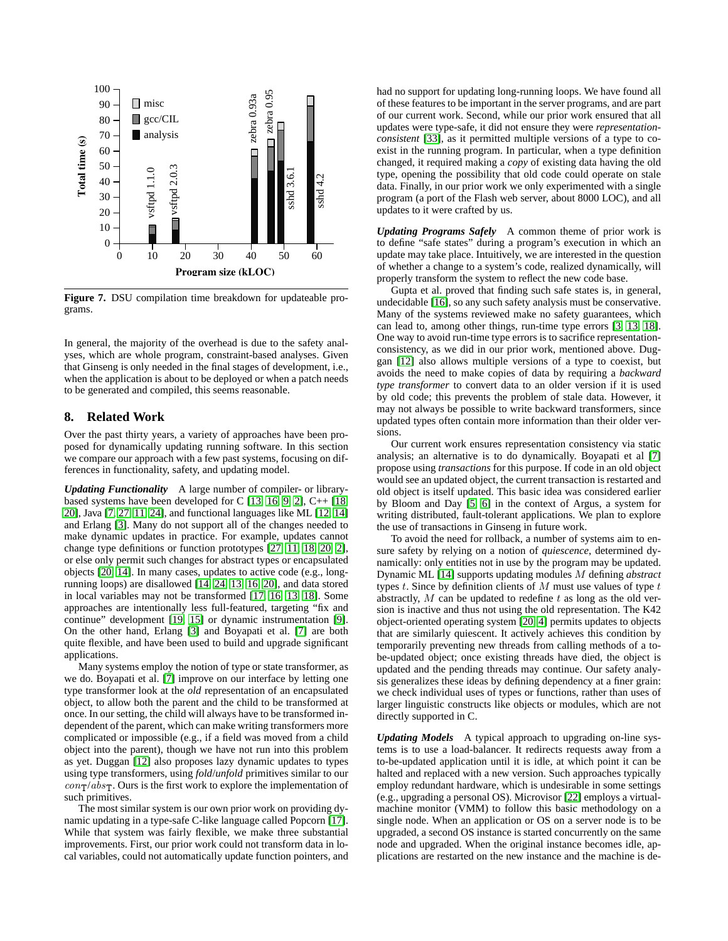

<span id="page-10-1"></span>**Figure 7.** DSU compilation time breakdown for updateable programs.

In general, the majority of the overhead is due to the safety analyses, which are whole program, constraint-based analyses. Given that Ginseng is only needed in the final stages of development, i.e., when the application is about to be deployed or when a patch needs to be generated and compiled, this seems reasonable.

# <span id="page-10-0"></span>**8. Related Work**

Over the past thirty years, a variety of approaches have been proposed for dynamically updating running software. In this section we compare our approach with a few past systems, focusing on differences in functionality, safety, and updating model.

*Updating Functionality* A large number of compiler- or librarybased systems have been developed for C [\[13,](#page-11-20) [16,](#page-11-21) [9,](#page-11-22) [2\]](#page-11-23), C++ [\[18,](#page-11-6) [20\]](#page-11-12), Java [\[7,](#page-11-11) [27,](#page-11-24) [11,](#page-11-25) [24\]](#page-11-26), and functional languages like ML [\[12,](#page-11-10) [14\]](#page-11-7) and Erlang [\[3\]](#page-11-27). Many do not support all of the changes needed to make dynamic updates in practice. For example, updates cannot change type definitions or function prototypes [\[27,](#page-11-24) [11,](#page-11-25) [18,](#page-11-6) [20,](#page-11-12) [2\]](#page-11-23), or else only permit such changes for abstract types or encapsulated objects [\[20,](#page-11-12) [14\]](#page-11-7). In many cases, updates to active code (e.g., longrunning loops) are disallowed [\[14,](#page-11-7) [24,](#page-11-26) [13,](#page-11-20) [16,](#page-11-21) [20\]](#page-11-12), and data stored in local variables may not be transformed [\[17,](#page-11-9) [16,](#page-11-21) [13,](#page-11-20) [18\]](#page-11-6). Some approaches are intentionally less full-featured, targeting "fix and continue" development [\[19,](#page-11-28) [15\]](#page-11-29) or dynamic instrumentation [\[9\]](#page-11-22). On the other hand, Erlang [\[3\]](#page-11-27) and Boyapati et al. [\[7\]](#page-11-11) are both quite flexible, and have been used to build and upgrade significant applications.

Many systems employ the notion of type or state transformer, as we do. Boyapati et al. [\[7\]](#page-11-11) improve on our interface by letting one type transformer look at the *old* representation of an encapsulated object, to allow both the parent and the child to be transformed at once. In our setting, the child will always have to be transformed independent of the parent, which can make writing transformers more complicated or impossible (e.g., if a field was moved from a child object into the parent), though we have not run into this problem as yet. Duggan [\[12\]](#page-11-10) also proposes lazy dynamic updates to types using type transformers, using *fold*/*unfold* primitives similar to our  $\text{con}_{\textbf{T}}/\text{abs}_{\textbf{T}}$ . Ours is the first work to explore the implementation of such primitives.

The most similar system is our own prior work on providing dynamic updating in a type-safe C-like language called Popcorn [\[17\]](#page-11-9). While that system was fairly flexible, we make three substantial improvements. First, our prior work could not transform data in local variables, could not automatically update function pointers, and had no support for updating long-running loops. We have found all of these features to be important in the server programs, and are part of our current work. Second, while our prior work ensured that all updates were type-safe, it did not ensure they were *representationconsistent* [\[33\]](#page-11-4), as it permitted multiple versions of a type to coexist in the running program. In particular, when a type definition changed, it required making a *copy* of existing data having the old type, opening the possibility that old code could operate on stale data. Finally, in our prior work we only experimented with a single program (a port of the Flash web server, about 8000 LOC), and all updates to it were crafted by us.

*Updating Programs Safely* A common theme of prior work is to define "safe states" during a program's execution in which an update may take place. Intuitively, we are interested in the question of whether a change to a system's code, realized dynamically, will properly transform the system to reflect the new code base.

Gupta et al. proved that finding such safe states is, in general, undecidable [\[16\]](#page-11-21), so any such safety analysis must be conservative. Many of the systems reviewed make no safety guarantees, which can lead to, among other things, run-time type errors [\[3,](#page-11-27) [13,](#page-11-20) [18\]](#page-11-6). One way to avoid run-time type errors is to sacrifice representationconsistency, as we did in our prior work, mentioned above. Duggan [\[12\]](#page-11-10) also allows multiple versions of a type to coexist, but avoids the need to make copies of data by requiring a *backward type transformer* to convert data to an older version if it is used by old code; this prevents the problem of stale data. However, it may not always be possible to write backward transformers, since updated types often contain more information than their older versions.

Our current work ensures representation consistency via static analysis; an alternative is to do dynamically. Boyapati et al [\[7\]](#page-11-11) propose using *transactions* for this purpose. If code in an old object would see an updated object, the current transaction is restarted and old object is itself updated. This basic idea was considered earlier by Bloom and Day [\[5,](#page-11-30) [6\]](#page-11-31) in the context of Argus, a system for writing distributed, fault-tolerant applications. We plan to explore the use of transactions in Ginseng in future work.

To avoid the need for rollback, a number of systems aim to ensure safety by relying on a notion of *quiescence*, determined dynamically: only entities not in use by the program may be updated. Dynamic ML [\[14\]](#page-11-7) supports updating modules M defining *abstract* types  $t$ . Since by definition clients of  $M$  must use values of type  $t$ abstractly,  $M$  can be updated to redefine  $t$  as long as the old version is inactive and thus not using the old representation. The K42 object-oriented operating system [\[20,](#page-11-12) [4\]](#page-11-8) permits updates to objects that are similarly quiescent. It actively achieves this condition by temporarily preventing new threads from calling methods of a tobe-updated object; once existing threads have died, the object is updated and the pending threads may continue. Our safety analysis generalizes these ideas by defining dependency at a finer grain: we check individual uses of types or functions, rather than uses of larger linguistic constructs like objects or modules, which are not directly supported in C.

*Updating Models* A typical approach to upgrading on-line systems is to use a load-balancer. It redirects requests away from a to-be-updated application until it is idle, at which point it can be halted and replaced with a new version. Such approaches typically employ redundant hardware, which is undesirable in some settings (e.g., upgrading a personal OS). Microvisor [\[22\]](#page-11-3) employs a virtualmachine monitor (VMM) to follow this basic methodology on a single node. When an application or OS on a server node is to be upgraded, a second OS instance is started concurrently on the same node and upgraded. When the original instance becomes idle, applications are restarted on the new instance and the machine is de